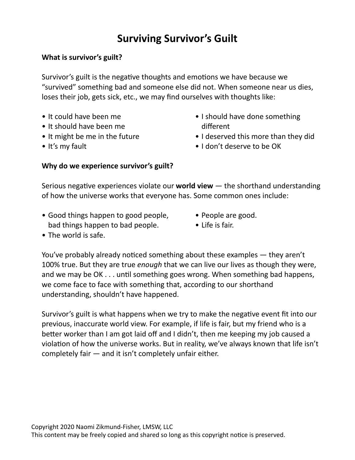# **Surviving Survivor's Guilt**

### **What is survivor's guilt?**

Survivor's guilt is the negative thoughts and emotions we have because we "survived" something bad and someone else did not. When someone near us dies, loses their job, gets sick, etc., we may find ourselves with thoughts like:

- It could have been me
- It should have been me
- It might be me in the future
- It's my fault
- I should have done something different
- I deserved this more than they did
- I don't deserve to be OK

#### Why do we experience survivor's guilt?

Serious negative experiences violate our **world view** — the shorthand understanding of how the universe works that everyone has. Some common ones include:

- Good things happen to good people, bad things happen to bad people.
- People are good.
- $\bullet$  Life is fair.

• The world is safe.

You've probably already noticed something about these examples  $-$  they aren't 100% true. But they are true *enough* that we can live our lives as though they were, and we may be  $OK \ldots$  until something goes wrong. When something bad happens, we come face to face with something that, according to our shorthand understanding, shouldn't have happened.

Survivor's guilt is what happens when we try to make the negative event fit into our previous, inaccurate world view. For example, if life is fair, but my friend who is a better worker than I am got laid off and I didn't, then me keeping my job caused a violation of how the universe works. But in reality, we've always known that life isn't completely fair  $-$  and it isn't completely unfair either.